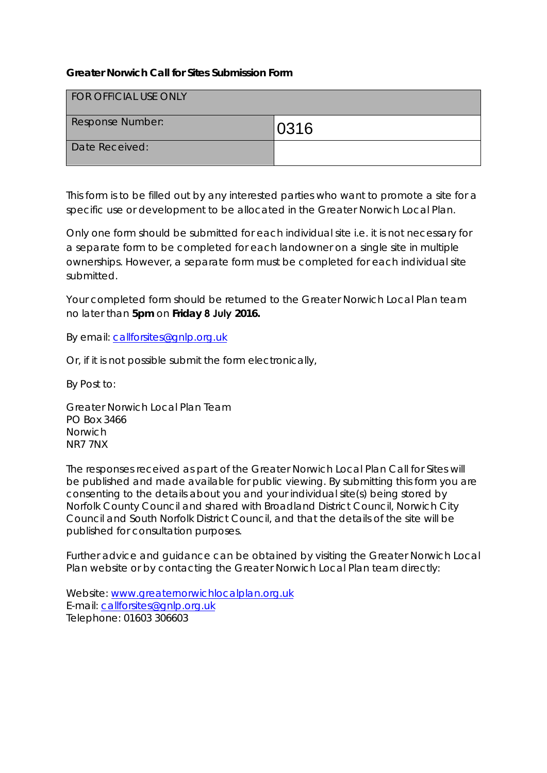### **Greater Norwich Call for Sites Submission Form**

| <b>FOR OFFICIAL USE ONLY</b> |      |
|------------------------------|------|
| <b>Response Number:</b>      | 0316 |
| Date Received:               |      |

This form is to be filled out by any interested parties who want to promote a site for a specific use or development to be allocated in the Greater Norwich Local Plan.

Only one form should be submitted for each individual site i.e. it is not necessary for a separate form to be completed for each landowner on a single site in multiple ownerships. However, a separate form must be completed for each individual site submitted.

Your completed form should be returned to the Greater Norwich Local Plan team no later than **5pm** on **Friday 8 July 2016.**

By email: [callforsites@gnlp.org.uk](mailto:callforsites@gnlp.org.uk)

Or, if it is not possible submit the form electronically,

By Post to:

*Greater Norwich Local Plan Team PO Box 3466 Norwich NR7 7NX*

The responses received as part of the Greater Norwich Local Plan Call for Sites will be published and made available for public viewing. By submitting this form you are consenting to the details about you and your individual site(s) being stored by Norfolk County Council and shared with Broadland District Council, Norwich City Council and South Norfolk District Council, and that the details of the site will be published for consultation purposes.

Further advice and guidance can be obtained by visiting the Greater Norwich Local Plan website or by contacting the Greater Norwich Local Plan team directly:

Website: [www.greaternorwichlocalplan.org.uk](http://www.greaternorwichlocalplan.org.uk/) E-mail: [callforsites@gnlp.org.uk](mailto:callforsites@gnlp.org.uk) Telephone: 01603 306603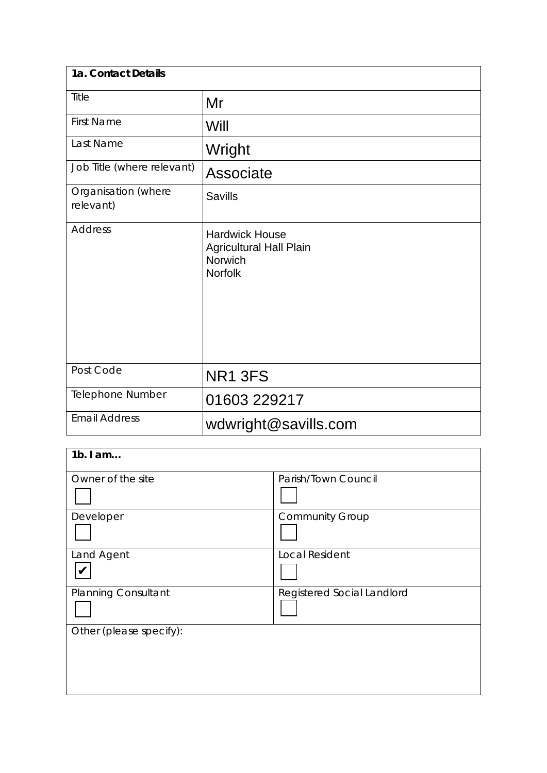| 1a. Contact Details              |                                                                               |
|----------------------------------|-------------------------------------------------------------------------------|
| Title                            | Mr                                                                            |
| <b>First Name</b>                | Will                                                                          |
| Last Name                        | Wright                                                                        |
| Job Title (where relevant)       | Associate                                                                     |
| Organisation (where<br>relevant) | <b>Savills</b>                                                                |
| <b>Address</b>                   | <b>Hardwick House</b><br><b>Agricultural Hall Plain</b><br>Norwich<br>Norfolk |
| Post Code                        | NR1 3FS                                                                       |
| Telephone Number                 | 01603 229217                                                                  |
| <b>Email Address</b>             | wdwright@savills.com                                                          |

| $1b.$ I am                 |                            |
|----------------------------|----------------------------|
| Owner of the site          | Parish/Town Council        |
|                            |                            |
| Developer                  | <b>Community Group</b>     |
| Land Agent                 | <b>Local Resident</b>      |
| <b>Planning Consultant</b> | Registered Social Landlord |
| Other (please specify):    |                            |
|                            |                            |
|                            |                            |
|                            |                            |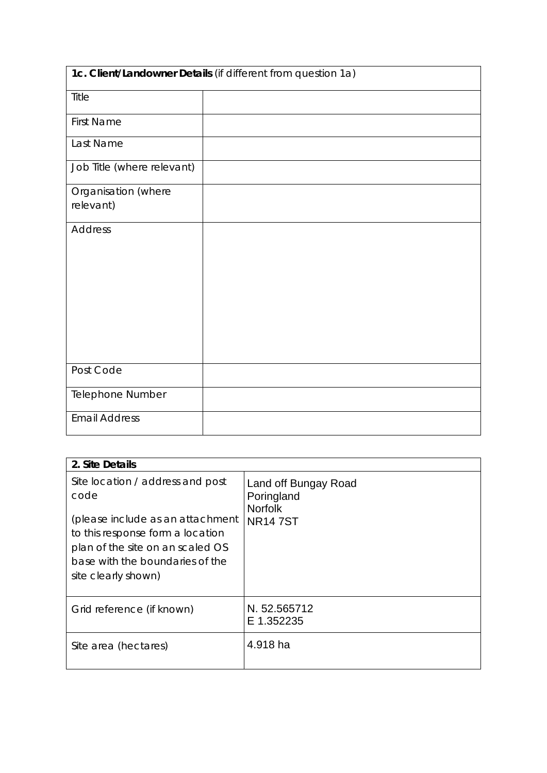|                            | 1c. Client/Landowner Details (if different from question 1a) |
|----------------------------|--------------------------------------------------------------|
| Title                      |                                                              |
| <b>First Name</b>          |                                                              |
| Last Name                  |                                                              |
| Job Title (where relevant) |                                                              |
| Organisation (where        |                                                              |
| relevant)                  |                                                              |
| <b>Address</b>             |                                                              |
|                            |                                                              |
|                            |                                                              |
|                            |                                                              |
|                            |                                                              |
|                            |                                                              |
| Post Code                  |                                                              |
| Telephone Number           |                                                              |
| <b>Email Address</b>       |                                                              |

| 2. Site Details                                                                                                                                                                                                |                                                                        |
|----------------------------------------------------------------------------------------------------------------------------------------------------------------------------------------------------------------|------------------------------------------------------------------------|
| Site location / address and post<br>code<br>(please include as an attachment<br>to this response form a location<br>plan of the site on an scaled OS<br>base with the boundaries of the<br>site clearly shown) | Land off Bungay Road<br>Poringland<br><b>Norfolk</b><br><b>NR147ST</b> |
| Grid reference (if known)                                                                                                                                                                                      | N. 52.565712<br>E 1.352235                                             |
| Site area (hectares)                                                                                                                                                                                           | 4.918 ha                                                               |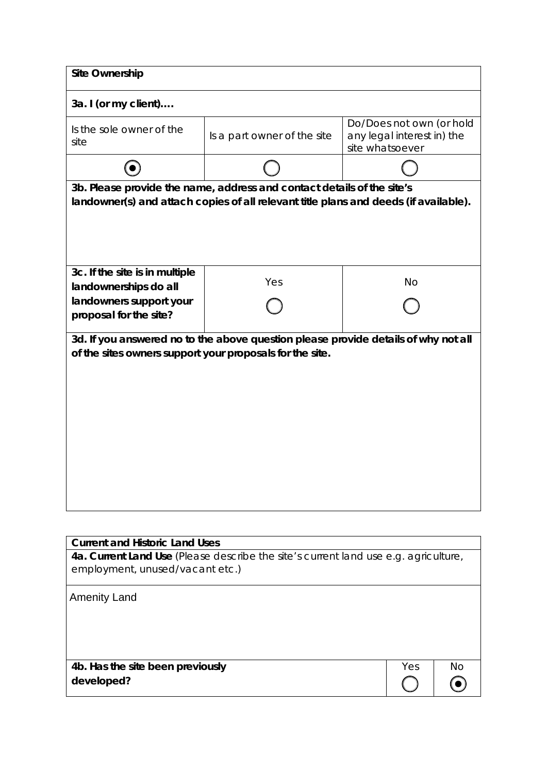| <b>Site Ownership</b>                                                                                                                                          |                                                                                     |                                                                           |
|----------------------------------------------------------------------------------------------------------------------------------------------------------------|-------------------------------------------------------------------------------------|---------------------------------------------------------------------------|
|                                                                                                                                                                |                                                                                     |                                                                           |
| 3a. I (or my client)                                                                                                                                           |                                                                                     |                                                                           |
| Is the sole owner of the<br>site                                                                                                                               | Is a part owner of the site                                                         | Do/Does not own (or hold<br>any legal interest in) the<br>site whatsoever |
|                                                                                                                                                                |                                                                                     |                                                                           |
| 3b. Please provide the name, address and contact details of the site's<br>landowner(s) and attach copies of all relevant title plans and deeds (if available). |                                                                                     |                                                                           |
| 3c. If the site is in multiple<br>landownerships do all<br>landowners support your<br>proposal for the site?                                                   | Yes                                                                                 | No                                                                        |
| 3d. If you answered no to the above question please provide details of why not all<br>of the sites owners support your proposals for the site.                 |                                                                                     |                                                                           |
| <b>Current and Historic Land Uses</b>                                                                                                                          |                                                                                     |                                                                           |
| employment, unused/vacant etc.)                                                                                                                                | 4a. Current Land Use (Please describe the site's current land use e.g. agriculture, |                                                                           |
| <b>Amenity Land</b>                                                                                                                                            |                                                                                     |                                                                           |

| 4b. Has the site been previously | Nο |
|----------------------------------|----|
| developed?                       |    |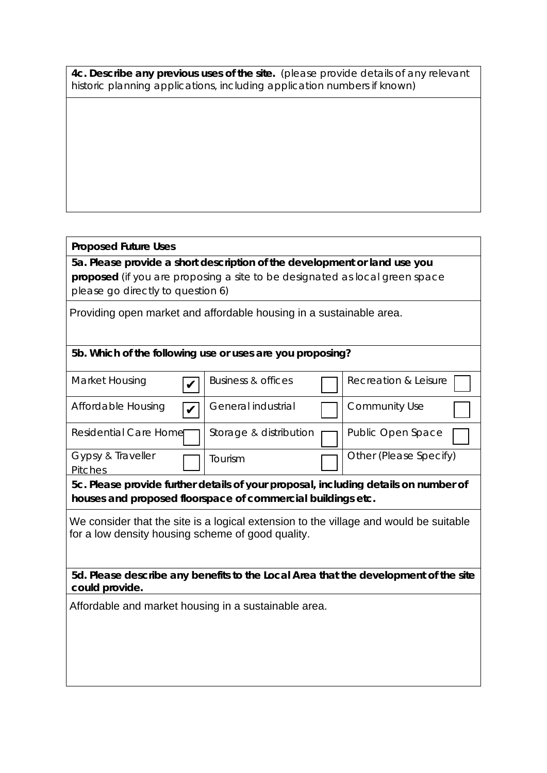| 4c. Describe any previous uses of the site. (please provide details of any relevant |  |
|-------------------------------------------------------------------------------------|--|
| historic planning applications, including application numbers if known)             |  |

## **Proposed Future Uses**

**5a. Please provide a short description of the development or land use you proposed** (if you are proposing a site to be designated as local green space please go directly to question 6)

Providing open market and affordable housing in a sustainable area.

# **5b. Which of the following use or uses are you proposing?**

| Market Housing                                                                        | Business & offices                                | Recreation & Leisure                                                                |
|---------------------------------------------------------------------------------------|---------------------------------------------------|-------------------------------------------------------------------------------------|
| Affordable Housing                                                                    | General industrial                                | Community Use                                                                       |
| <b>Residential Care Home</b>                                                          | Storage & distribution                            | Public Open Space                                                                   |
| Gypsy & Traveller<br>Pitches                                                          | Tourism                                           | Other (Please Specify)                                                              |
| 5c. Please provide further details of your proposal, including details on number of   |                                                   |                                                                                     |
| houses and proposed floorspace of commercial buildings etc.                           |                                                   |                                                                                     |
| We consider that the site is a logical extension to the village and would be suitable | for a low density housing scheme of good quality. |                                                                                     |
|                                                                                       |                                                   |                                                                                     |
| could provide.                                                                        |                                                   | 5d. Please describe any benefits to the Local Area that the development of the site |
| Affordable and market housing in a sustainable area.                                  |                                                   |                                                                                     |
|                                                                                       |                                                   |                                                                                     |
|                                                                                       |                                                   |                                                                                     |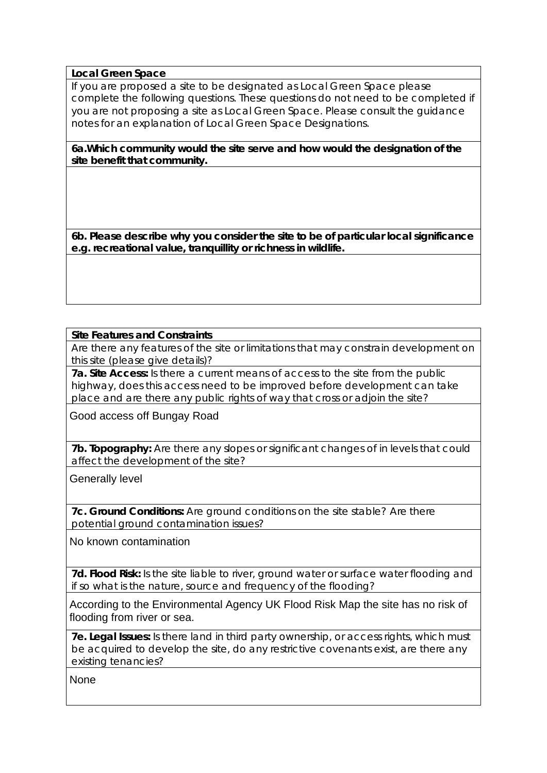#### **Local Green Space**

If you are proposed a site to be designated as Local Green Space please complete the following questions. These questions do not need to be completed if you are not proposing a site as Local Green Space. Please consult the guidance notes for an explanation of Local Green Space Designations.

**6a.Which community would the site serve and how would the designation of the site benefit that community.** 

**6b. Please describe why you consider the site to be of particular local significance e.g. recreational value, tranquillity or richness in wildlife.**

## **Site Features and Constraints**

Are there any features of the site or limitations that may constrain development on this site (please give details)?

**7a. Site Access:** Is there a current means of access to the site from the public highway, does this access need to be improved before development can take place and are there any public rights of way that cross or adjoin the site?

Good access off Bungay Road

**7b. Topography:** Are there any slopes or significant changes of in levels that could affect the development of the site?

Generally level

**7c. Ground Conditions:** Are ground conditions on the site stable? Are there potential ground contamination issues?

No known contamination

**7d. Flood Risk:** Is the site liable to river, ground water or surface water flooding and if so what is the nature, source and frequency of the flooding?

According to the Environmental Agency UK Flood Risk Map the site has no risk of flooding from river or sea.

**7e. Legal Issues:** Is there land in third party ownership, or access rights, which must be acquired to develop the site, do any restrictive covenants exist, are there any existing tenancies?

None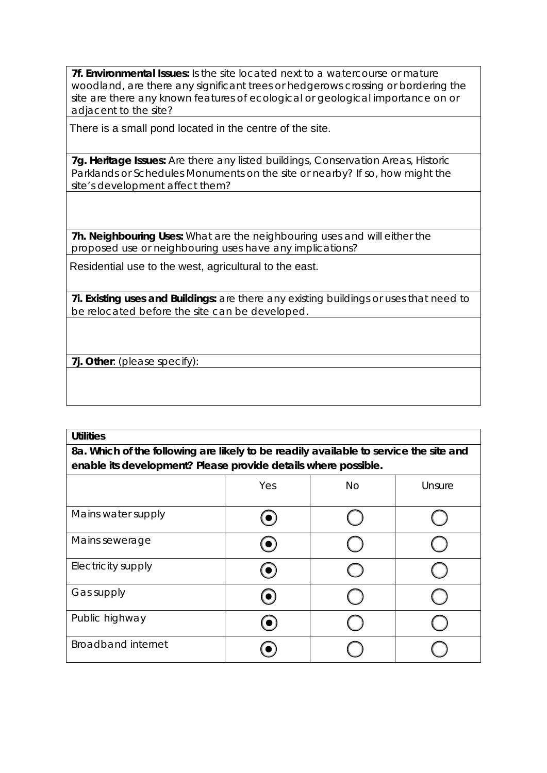**7f. Environmental Issues:** Is the site located next to a watercourse or mature woodland, are there any significant trees or hedgerows crossing or bordering the site are there any known features of ecological or geological importance on or adjacent to the site?

There is a small pond located in the centre of the site.

**7g. Heritage Issues:** Are there any listed buildings, Conservation Areas, Historic Parklands or Schedules Monuments on the site or nearby? If so, how might the site's development affect them?

**7h. Neighbouring Uses:** What are the neighbouring uses and will either the proposed use or neighbouring uses have any implications?

Residential use to the west, agricultural to the east.

**7i. Existing uses and Buildings:** are there any existing buildings or uses that need to be relocated before the site can be developed.

**7j. Other**: (please specify):

| <b>Utilities</b>                                                                      |     |    |        |
|---------------------------------------------------------------------------------------|-----|----|--------|
| 8a. Which of the following are likely to be readily available to service the site and |     |    |        |
| enable its development? Please provide details where possible.                        |     |    |        |
|                                                                                       | Yes | Νo | Unsure |
|                                                                                       |     |    |        |
| Mains water supply                                                                    |     |    |        |
| Mains sewerage                                                                        |     |    |        |
|                                                                                       |     |    |        |

| Electricity supply        |  |  |
|---------------------------|--|--|
| Gas supply                |  |  |
| Public highway            |  |  |
| <b>Broadband internet</b> |  |  |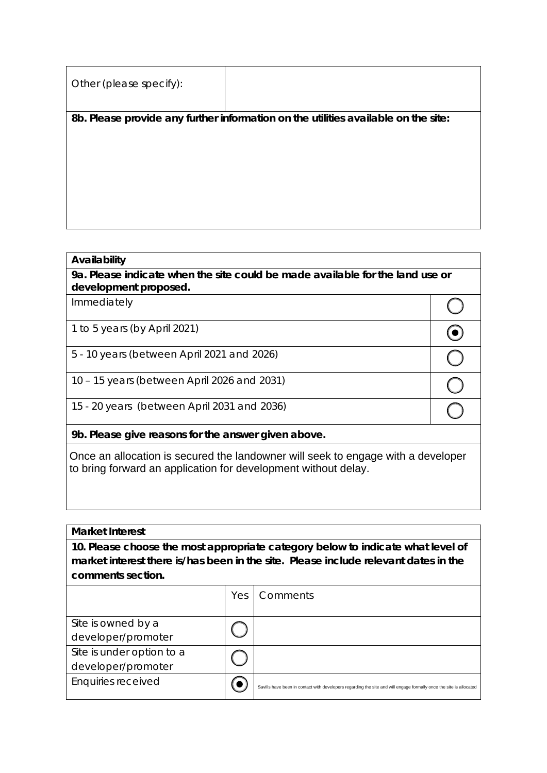| Other (please specify): |                                                                                    |
|-------------------------|------------------------------------------------------------------------------------|
|                         | 8b. Please provide any further information on the utilities available on the site: |
|                         |                                                                                    |
|                         |                                                                                    |
|                         |                                                                                    |
|                         |                                                                                    |
|                         |                                                                                    |
|                         |                                                                                    |

#### **Availability**

**9a. Please indicate when the site could be made available for the land use or development proposed.**

 $\bigcirc$ 

 $\odot$ 

 $\bigcirc$ 

Immediately

1 to 5 years (by April 2021)

5 - 10 years (between April 2021 and 2026)

10 – 15 years (between April 2026 and 2031)

15 - 20 years (between April 2031 and 2036)

**9b. Please give reasons for the answer given above.**

Once an allocation is secured the landowner will seek to engage with a developer to bring forward an application for development without delay.

#### **Market Interest**

**10. Please choose the most appropriate category below to indicate what level of market interest there is/has been in the site. Please include relevant dates in the comments section.**

|                           | Yes | Comments                                                                                                            |
|---------------------------|-----|---------------------------------------------------------------------------------------------------------------------|
| Site is owned by a        |     |                                                                                                                     |
| developer/promoter        |     |                                                                                                                     |
| Site is under option to a |     |                                                                                                                     |
| developer/promoter        |     |                                                                                                                     |
| <b>Enquiries received</b> |     | Savills have been in contact with developers regarding the site and will engage formally once the site is allocated |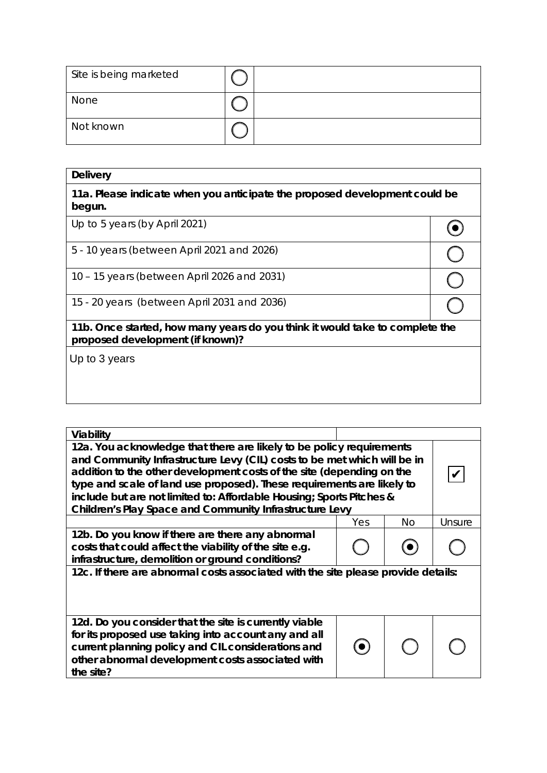| Site is being marketed |  |
|------------------------|--|
| None                   |  |
| Not known              |  |

| <b>Delivery</b>                                                                                                  |  |  |
|------------------------------------------------------------------------------------------------------------------|--|--|
| 11a. Please indicate when you anticipate the proposed development could be<br>begun.                             |  |  |
| Up to 5 years (by April 2021)                                                                                    |  |  |
| 5 - 10 years (between April 2021 and 2026)                                                                       |  |  |
| 10 – 15 years (between April 2026 and 2031)                                                                      |  |  |
| 15 - 20 years (between April 2031 and 2036)                                                                      |  |  |
| 11b. Once started, how many years do you think it would take to complete the<br>proposed development (if known)? |  |  |
| Up to 3 years                                                                                                    |  |  |
|                                                                                                                  |  |  |

| Viability                                                                                                                                                                                                                                                                                                                                                                                                                              |     |           |        |
|----------------------------------------------------------------------------------------------------------------------------------------------------------------------------------------------------------------------------------------------------------------------------------------------------------------------------------------------------------------------------------------------------------------------------------------|-----|-----------|--------|
| 12a. You acknowledge that there are likely to be policy requirements<br>and Community Infrastructure Levy (CIL) costs to be met which will be in<br>addition to the other development costs of the site (depending on the<br>type and scale of land use proposed). These requirements are likely to<br>include but are not limited to: Affordable Housing; Sports Pitches &<br>Children's Play Space and Community Infrastructure Levy |     |           |        |
|                                                                                                                                                                                                                                                                                                                                                                                                                                        | Yes | <b>No</b> | Unsure |
| 12b. Do you know if there are there any abnormal<br>costs that could affect the viability of the site e.g.<br>infrastructure, demolition or ground conditions?                                                                                                                                                                                                                                                                         |     |           |        |
| 12c. If there are abnormal costs associated with the site please provide details:                                                                                                                                                                                                                                                                                                                                                      |     |           |        |
| 12d. Do you consider that the site is currently viable<br>for its proposed use taking into account any and all<br>current planning policy and CIL considerations and<br>other abnormal development costs associated with<br>the site?                                                                                                                                                                                                  |     |           |        |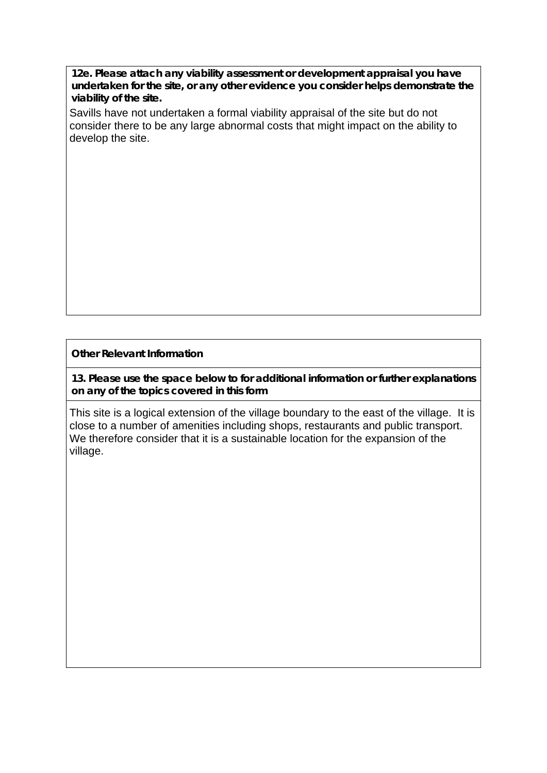**12e. Please attach any viability assessment or development appraisal you have undertaken for the site, or any other evidence you consider helps demonstrate the viability of the site.** 

Savills have not undertaken a formal viability appraisal of the site but do not consider there to be any large abnormal costs that might impact on the ability to develop the site.

**Other Relevant Information**

**13. Please use the space below to for additional information or further explanations on any of the topics covered in this form**

This site is a logical extension of the village boundary to the east of the village. It is close to a number of amenities including shops, restaurants and public transport. We therefore consider that it is a sustainable location for the expansion of the village.